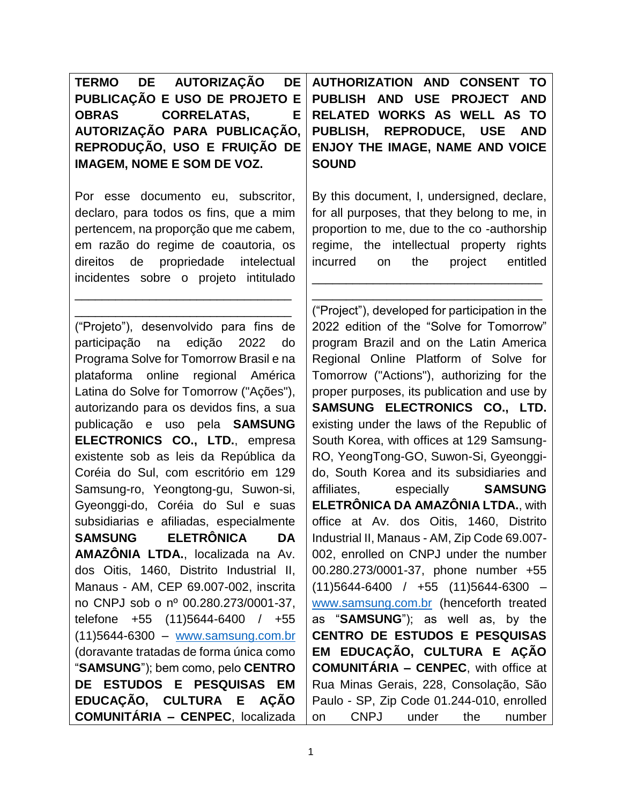| TERMO DE AUTORIZAÇÃO DE AUTHO        |              |
|--------------------------------------|--------------|
| PUBLICAÇÃO E USO DE PROJETO E PUBLIS |              |
| OBRAS CORRELATAS,                    | E RELATE     |
| AUTORIZAÇÃO PARA PUBLICAÇÃO, PUBLIS  |              |
| REPRODUÇÃO, USO E FRUIÇÃO DE ENJOY   |              |
| <b>IMAGEM, NOME E SOM DE VOZ.</b>    | <b>SOUND</b> |

Por esse documento eu, subscritor, declaro, para todos os fins, que a mim pertencem, na proporção que me cabem, em razão do regime de coautoria, os direitos de propriedade intelectual incidentes sobre o projeto intitulado

\_\_\_\_\_\_\_\_\_\_\_\_\_\_\_\_\_\_\_\_\_\_\_\_\_\_\_\_\_\_\_\_ \_\_\_\_\_\_\_\_\_\_\_\_\_\_\_\_\_\_\_\_\_\_\_\_\_\_\_\_\_\_\_\_

("Projeto"), desenvolvido para fins de participação na edição 2022 do Programa Solve for Tomorrow Brasil e na plataforma online regional América Latina do Solve for Tomorrow ("Ações"), autorizando para os devidos fins, a sua publicação e uso pela **SAMSUNG ELECTRONICS CO., LTD.**, empresa existente sob as leis da República da Coréia do Sul, com escritório em 129 Samsung-ro, Yeongtong-gu, Suwon-si, Gyeonggi-do, Coréia do Sul e suas subsidiarias e afiliadas, especialmente **SAMSUNG ELETRÔNICA DA AMAZÔNIA LTDA.**, localizada na Av. dos Oitis, 1460, Distrito Industrial II, Manaus - AM, CEP 69.007-002, inscrita no CNPJ sob o nº 00.280.273/0001-37, telefone +55 (11)5644-6400 / +55 (11)5644-6300 – [www.samsung.com.br](http://www.samsung.com.br/) (doravante tratadas de forma única como "**SAMSUNG**"); bem como, pelo **CENTRO DE ESTUDOS E PESQUISAS EM EDUCAÇÃO, CULTURA E AÇÃO COMUNITÁRIA – CENPEC**, localizada **AUTHORIZATION AND CONSENT TO H AND USE PROJECT AND RELATED WORKS AS WELL AS TO H, REPRODUCE, USE AND THE IMAGE, NAME AND VOICE** 

By this document, I, undersigned, declare, for all purposes, that they belong to me, in proportion to me, due to the co -authorship regime, the intellectual property rights incurred on the project entitled

\_\_\_\_\_\_\_\_\_\_\_\_\_\_\_\_\_\_\_\_\_\_\_\_\_\_\_\_\_\_\_\_\_\_ \_\_\_\_\_\_\_\_\_\_\_\_\_\_\_\_\_\_\_\_\_\_\_\_\_\_\_\_\_\_\_\_\_\_

("Project"), developed for participation in the 2022 edition of the "Solve for Tomorrow" program Brazil and on the Latin America Regional Online Platform of Solve for Tomorrow ("Actions"), authorizing for the proper purposes, its publication and use by **SAMSUNG ELECTRONICS CO., LTD.**  existing under the laws of the Republic of South Korea, with offices at 129 Samsung-RO, YeongTong-GO, Suwon-Si, Gyeonggido, South Korea and its subsidiaries and affiliates, especially **SAMSUNG ELETRÔNICA DA AMAZÔNIA LTDA.**, with office at Av. dos Oitis, 1460, Distrito Industrial II, Manaus - AM, Zip Code 69.007- 002, enrolled on CNPJ under the number 00.280.273/0001-37, phone number +55  $(11)5644-6400$  /  $+55$   $(11)5644-6300$  [www.samsung.com.br](http://www.samsung.com.br/) (henceforth treated as "**SAMSUNG**"); as well as, by the **CENTRO DE ESTUDOS E PESQUISAS EM EDUCAÇÃO, CULTURA E AÇÃO COMUNITÁRIA – CENPEC**, with office at Rua Minas Gerais, 228, Consolação, São Paulo - SP, Zip Code 01.244-010, enrolled on CNPJ under the number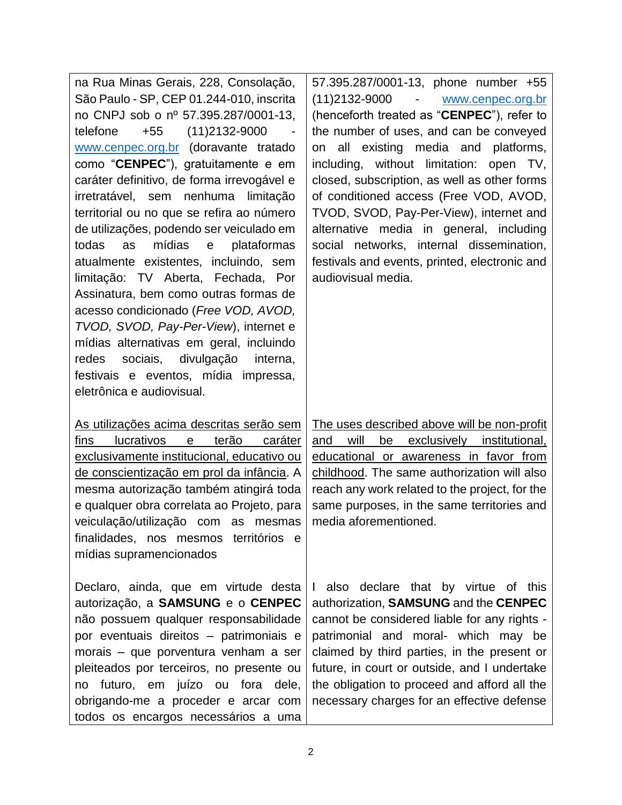| na Rua Minas Gerais, 228, Consolação,<br>São Paulo - SP, CEP 01.244-010, inscrita | 57.395.287/0001-13, phone number +55<br>(11) 2132-9000 - www.cenpec.org.br |
|-----------------------------------------------------------------------------------|----------------------------------------------------------------------------|
| no CNPJ sob o nº 57.395.287/0001-13,                                              | (henceforth treated as "CENPEC"), refer to                                 |
| telefone<br>+55 (11)2132-9000                                                     | the number of uses, and can be conveyed                                    |
| www.cenpec.org.br (doravante tratado                                              | on all existing media and platforms,                                       |
| como "CENPEC"), gratuitamente e em                                                | including, without limitation: open TV,                                    |
| caráter definitivo, de forma irrevogável e                                        | closed, subscription, as well as other forms                               |
| irretratável, sem nenhuma limitação                                               | of conditioned access (Free VOD, AVOD,                                     |
| territorial ou no que se refira ao número                                         | TVOD, SVOD, Pay-Per-View), internet and                                    |
| de utilizações, podendo ser veiculado em                                          | alternative media in general, including                                    |
| mídias e<br>plataformas<br>todas<br>as                                            | social networks, internal dissemination,                                   |
| atualmente existentes, incluindo, sem                                             | festivals and events, printed, electronic and                              |
| limitação: TV Aberta, Fechada, Por                                                | audiovisual media.                                                         |
| Assinatura, bem como outras formas de                                             |                                                                            |
| acesso condicionado (Free VOD, AVOD,                                              |                                                                            |
| TVOD, SVOD, Pay-Per-View), internet e                                             |                                                                            |
| mídias alternativas em geral, incluindo                                           |                                                                            |
| redes<br>sociais, divulgação interna,                                             |                                                                            |
| festivais e eventos, mídia impressa,                                              |                                                                            |
| eletrônica e audiovisual.                                                         |                                                                            |
|                                                                                   |                                                                            |
|                                                                                   |                                                                            |
| As utilizações acima descritas serão sem                                          | The uses described above will be non-profit                                |
| lucrativos<br>terão<br>caráter<br>fins<br>$\mathbf e$                             | will<br>exclusively<br>and<br>be<br>institutional,                         |
| exclusivamente institucional, educativo ou                                        | educational or awareness in favor from                                     |
| de conscientização em prol da infância. A                                         | childhood. The same authorization will also                                |
| mesma autorização também atingirá toda                                            | reach any work related to the project, for the                             |
| e qualquer obra correlata ao Projeto, para                                        | same purposes, in the same territories and                                 |
| veiculação/utilização com as mesmas                                               | media aforementioned.                                                      |
| finalidades, nos mesmos territórios e                                             |                                                                            |
| mídias supramencionados                                                           |                                                                            |
|                                                                                   |                                                                            |
| Declaro, ainda, que em virtude desta                                              | also declare that by virtue of this<br>L                                   |
| autorização, a SAMSUNG e o CENPEC                                                 | authorization, SAMSUNG and the CENPEC                                      |
| não possuem qualquer responsabilidade                                             | cannot be considered liable for any rights -                               |
| por eventuais direitos - patrimoniais e                                           | patrimonial and moral- which may be                                        |
| morais - que porventura venham a ser                                              | claimed by third parties, in the present or                                |
| pleiteados por terceiros, no presente ou                                          | future, in court or outside, and I undertake                               |
| no futuro, em juízo ou fora dele,                                                 | the obligation to proceed and afford all the                               |
| obrigando-me a proceder e arcar com<br>todos os encargos necessários a uma        | necessary charges for an effective defense                                 |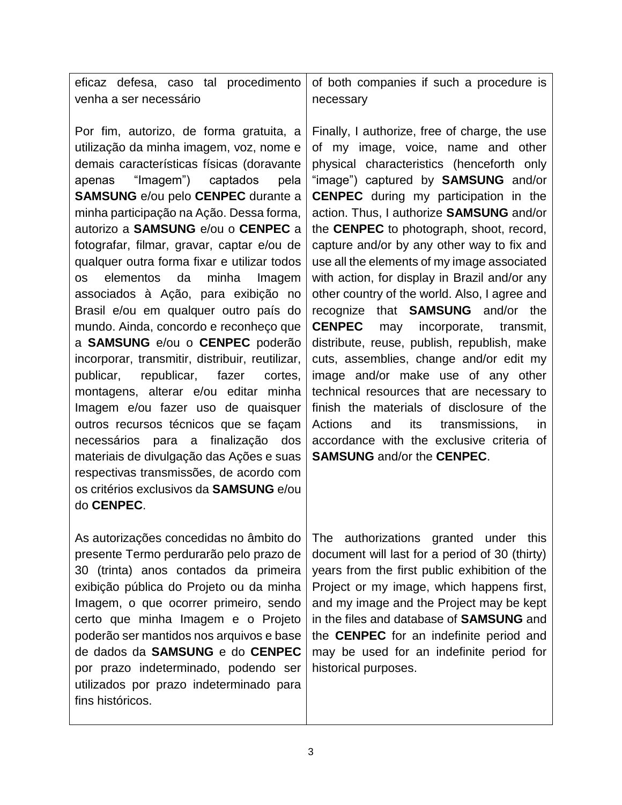|                        |  | eficaz defesa, caso tal procedimento of both companies if such a procedure is |           |  |  |  |
|------------------------|--|-------------------------------------------------------------------------------|-----------|--|--|--|
| venha a ser necessário |  |                                                                               | necessary |  |  |  |

Por fim, autorizo, de forma gratuita, a utilização da minha imagem, voz, nome e demais características físicas (doravante apenas "Imagem") captados pela **SAMSUNG** e/ou pelo **CENPEC** durante a minha participação na Ação. Dessa forma, autorizo a **SAMSUNG** e/ou o **CENPEC** a fotografar, filmar, gravar, captar e/ou de qualquer outra forma fixar e utilizar todos os elementos da minha Imagem associados à Ação, para exibição no Brasil e/ou em qualquer outro país do mundo. Ainda, concordo e reconheço que a **SAMSUNG** e/ou o **CENPEC** poderão incorporar, transmitir, distribuir, reutilizar, publicar, republicar, fazer cortes, montagens, alterar e/ou editar minha Imagem e/ou fazer uso de quaisquer outros recursos técnicos que se façam necessários para a finalização dos materiais de divulgação das Ações e suas respectivas transmissões, de acordo com os critérios exclusivos da **SAMSUNG** e/ou do **CENPEC**.

As autorizações concedidas no âmbito do presente Termo perdurarão pelo prazo de 30 (trinta) anos contados da primeira exibição pública do Projeto ou da minha Imagem, o que ocorrer primeiro, sendo certo que minha Imagem e o Projeto poderão ser mantidos nos arquivos e base de dados da **SAMSUNG** e do **CENPEC**  por prazo indeterminado, podendo ser utilizados por prazo indeterminado para fins históricos.

Finally, I authorize, free of charge, the use of my image, voice, name and other physical characteristics (henceforth only "image") captured by **SAMSUNG** and/or **CENPEC** during my participation in the action. Thus, I authorize **SAMSUNG** and/or the **CENPEC** to photograph, shoot, record, capture and/or by any other way to fix and use all the elements of my image associated with action, for display in Brazil and/or any other country of the world. Also, I agree and recognize that **SAMSUNG** and/or the **CENPEC** may incorporate, transmit, distribute, reuse, publish, republish, make cuts, assemblies, change and/or edit my image and/or make use of any other technical resources that are necessary to finish the materials of disclosure of the Actions and its transmissions, in accordance with the exclusive criteria of **SAMSUNG** and/or the **CENPEC**.

The authorizations granted under this document will last for a period of 30 (thirty) years from the first public exhibition of the Project or my image, which happens first, and my image and the Project may be kept in the files and database of **SAMSUNG** and the **CENPEC** for an indefinite period and may be used for an indefinite period for historical purposes.